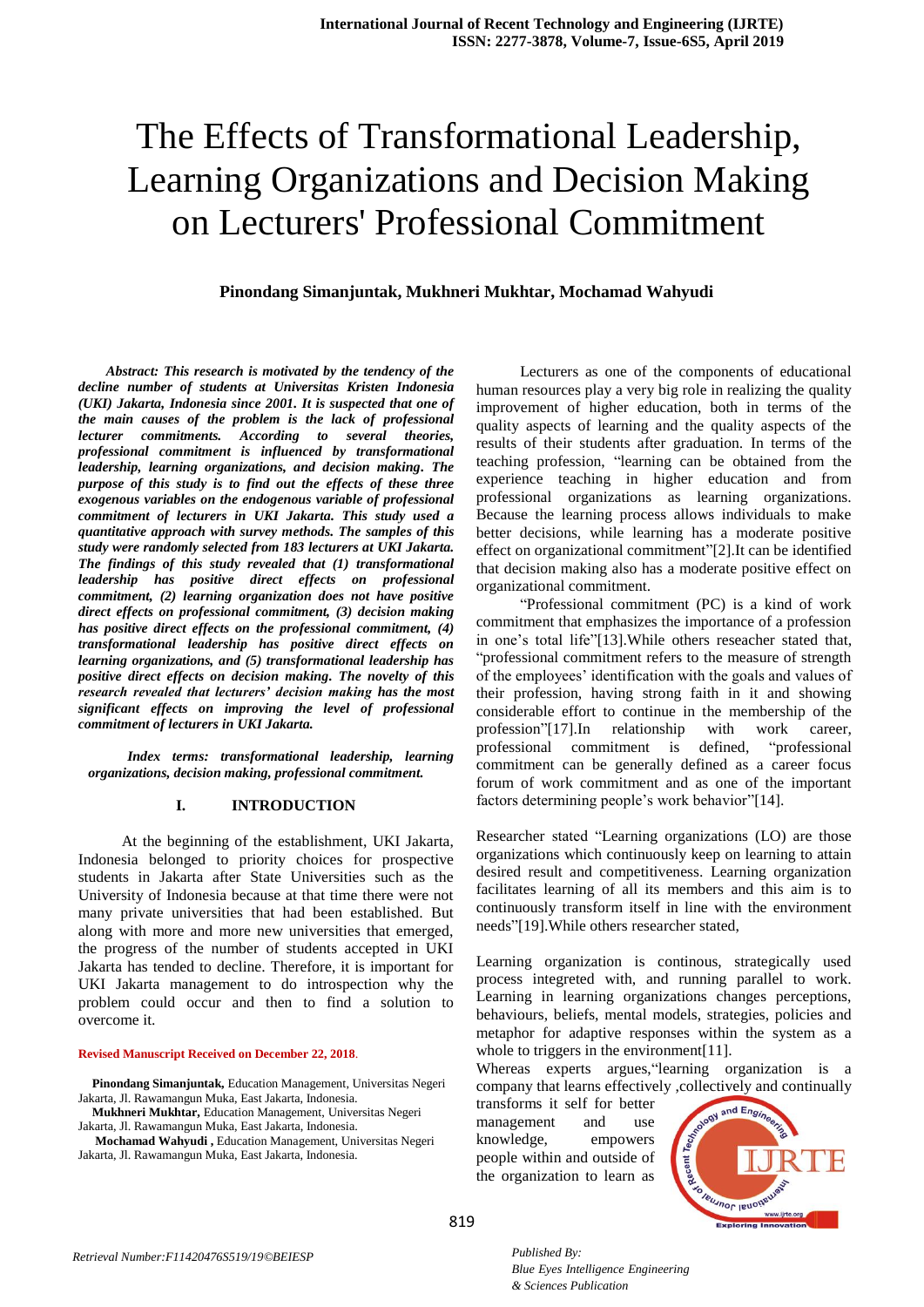# The Effects of Transformational Leadership, Learning Organizations and Decision Making on Lecturers' Professional Commitment

## **Pinondang Simanjuntak, Mukhneri Mukhtar, Mochamad Wahyudi**

*Abstract: This research is motivated by the tendency of the decline number of students at Universitas Kristen Indonesia (UKI) Jakarta, Indonesia since 2001. It is suspected that one of the main causes of the problem is the lack of professional lecturer commitments. According to several theories, professional commitment is influenced by transformational leadership, learning organizations, and decision making. The purpose of this study is to find out the effects of these three exogenous variables on the endogenous variable of professional commitment of lecturers in UKI Jakarta. This study used a quantitative approach with survey methods. The samples of this study were randomly selected from 183 lecturers at UKI Jakarta. The findings of this study revealed that (1) transformational leadership has positive direct effects on professional commitment, (2) learning organization does not have positive direct effects on professional commitment, (3) decision making has positive direct effects on the professional commitment, (4) transformational leadership has positive direct effects on learning organizations, and (5) transformational leadership has positive direct effects on decision making. The novelty of this research revealed that lecturers' decision making has the most significant effects on improving the level of professional commitment of lecturers in UKI Jakarta.*

 *Index terms: transformational leadership, learning organizations, decision making, professional commitment.*

#### **I. INTRODUCTION**

At the beginning of the establishment, UKI Jakarta, Indonesia belonged to priority choices for prospective students in Jakarta after State Universities such as the University of Indonesia because at that time there were not many private universities that had been established. But along with more and more new universities that emerged, the progress of the number of students accepted in UKI Jakarta has tended to decline. Therefore, it is important for UKI Jakarta management to do introspection why the problem could occur and then to find a solution to overcome it.

#### **Revised Manuscript Received on December 22, 2018**.

**Pinondang Simanjuntak,** Education Management, Universitas Negeri Jakarta, Jl. Rawamangun Muka, East Jakarta, Indonesia.

**Mukhneri Mukhtar,** Education Management, Universitas Negeri

Jakarta, Jl. Rawamangun Muka, East Jakarta, Indonesia.

Lecturers as one of the components of educational human resources play a very big role in realizing the quality improvement of higher education, both in terms of the quality aspects of learning and the quality aspects of the results of their students after graduation. In terms of the teaching profession, "learning can be obtained from the experience teaching in higher education and from professional organizations as learning organizations. Because the learning process allows individuals to make better decisions, while learning has a moderate positive effect on organizational commitment"[2].It can be identified that decision making also has a moderate positive effect on organizational commitment.

"Professional commitment (PC) is a kind of work commitment that emphasizes the importance of a profession in one's total life"[13].While others reseacher stated that, "professional commitment refers to the measure of strength of the employees' identification with the goals and values of their profession, having strong faith in it and showing considerable effort to continue in the membership of the profession"[17].In relationship with work career, professional commitment is defined, "professional commitment can be generally defined as a career focus forum of work commitment and as one of the important factors determining people's work behavior"[14].

Researcher stated "Learning organizations (LO) are those organizations which continuously keep on learning to attain desired result and competitiveness. Learning organization facilitates learning of all its members and this aim is to continuously transform itself in line with the environment needs"[19].While others researcher stated,

Learning organization is continous, strategically used process integreted with, and running parallel to work. Learning in learning organizations changes perceptions, behaviours, beliefs, mental models, strategies, policies and metaphor for adaptive responses within the system as a whole to triggers in the environment [11].

Whereas experts argues,"learning organization is a company that learns effectively ,collectively and continually

transforms it self for better management and use knowledge, empowers people within and outside of the organization to learn as



Jakarta, Jl. Rawamangun Muka, East Jakarta, Indonesia. **Mochamad Wahyudi ,** Education Management, Universitas Negeri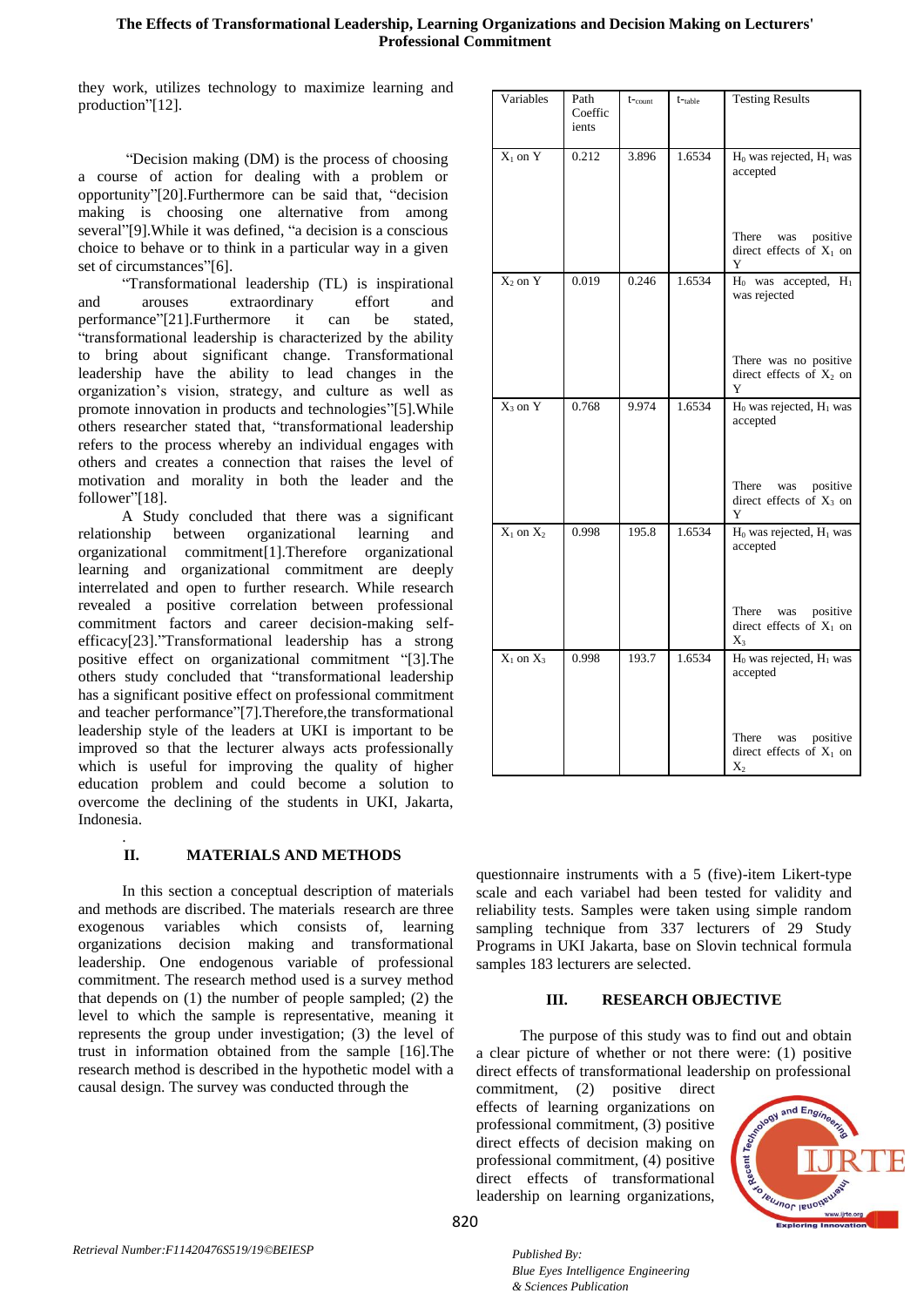# **The Effects of Transformational Leadership, Learning Organizations and Decision Making on Lecturers' Professional Commitment**

they work, utilizes technology to maximize learning and production"[12].

"Decision making (DM) is the process of choosing a course of action for dealing with a problem or opportunity"[20].Furthermore can be said that, "decision making is choosing one alternative from among several"[9].While it was defined, "a decision is a conscious choice to behave or to think in a particular way in a given set of circumstances"[6].

"Transformational leadership (TL) is inspirational and arouses extraordinary effort and performance"[21].Furthermore it can be stated, "transformational leadership is characterized by the ability to bring about significant change. Transformational leadership have the ability to lead changes in the organization's vision, strategy, and culture as well as promote innovation in products and technologies"[5].While others researcher stated that, "transformational leadership refers to the process whereby an individual engages with others and creates a connection that raises the level of motivation and morality in both the leader and the follower"[18].

A Study concluded that there was a significant relationship between organizational learning and organizational commitment[1].Therefore organizational learning and organizational commitment are deeply interrelated and open to further research. While research revealed a positive correlation between professional commitment factors and career decision-making selfefficacy[23]."Transformational leadership has a strong positive effect on organizational commitment "[3].The others study concluded that "transformational leadership has a significant positive effect on professional commitment and teacher performance"[7].Therefore,the transformational leadership style of the leaders at UKI is important to be improved so that the lecturer always acts professionally which is useful for improving the quality of higher education problem and could become a solution to overcome the declining of the students in UKI, Jakarta, Indonesia.

# **II. MATERIALS AND METHODS**

.

In this section a conceptual description of materials and methods are discribed. The materials research are three exogenous variables which consists of, learning organizations decision making and transformational leadership. One endogenous variable of professional commitment. The research method used is a survey method that depends on (1) the number of people sampled; (2) the level to which the sample is representative, meaning it represents the group under investigation; (3) the level of trust in information obtained from the sample [16].The research method is described in the hypothetic model with a causal design. The survey was conducted through the

| Variables      | Path<br>Coeffic<br>ients | $t$ -count | $t$ <sup>-table</sup> | <b>Testing Results</b>                                          |
|----------------|--------------------------|------------|-----------------------|-----------------------------------------------------------------|
| $X_1$ on $Y$   | 0.212                    | 3.896      | 1.6534                | $H_0$ was rejected, $H_1$ was<br>accepted                       |
|                |                          |            |                       | There was positive<br>direct effects of $X_1$ on<br>Y           |
| $X_2$ on $Y$   | 0.019                    | 0.246      | 1.6534                | $H_0$ was accepted, $H_1$<br>was rejected                       |
|                |                          |            |                       | There was no positive<br>direct effects of $X_2$ on<br>Y        |
| $X_3$ on $Y$   | 0.768                    | 9.974      | 1.6534                | H <sub>0</sub> was rejected, H <sub>1</sub> was<br>accepted     |
|                |                          |            |                       | There was positive<br>direct effects of $X_3$ on<br>Y           |
| $X_1$ on $X_2$ | 0.998                    | 195.8      | 1.6534                | $\overline{H_0}$ was rejected, $H_1$ was<br>accepted            |
|                |                          |            |                       | There was positive<br>direct effects of $X_1$ on<br>$X_3$       |
| $X_1$ on $X_3$ | 0.998                    | 193.7      | 1.6534                | $H_0$ was rejected, $H_1$ was<br>accepted                       |
|                |                          |            |                       | There<br>positive<br>was<br>direct effects of $X_1$ on<br>$X_2$ |

questionnaire instruments with a 5 (five)-item Likert-type scale and each variabel had been tested for validity and reliability tests. Samples were taken using simple random sampling technique from 337 lecturers of 29 Study Programs in UKI Jakarta, base on Slovin technical formula samples 183 lecturers are selected.

## **III. RESEARCH OBJECTIVE**

The purpose of this study was to find out and obtain a clear picture of whether or not there were: (1) positive direct effects of transformational leadership on professional

commitment, (2) positive direct effects of learning organizations on professional commitment, (3) positive direct effects of decision making on professional commitment, (4) positive direct effects of transformational leadership on learning organizations,

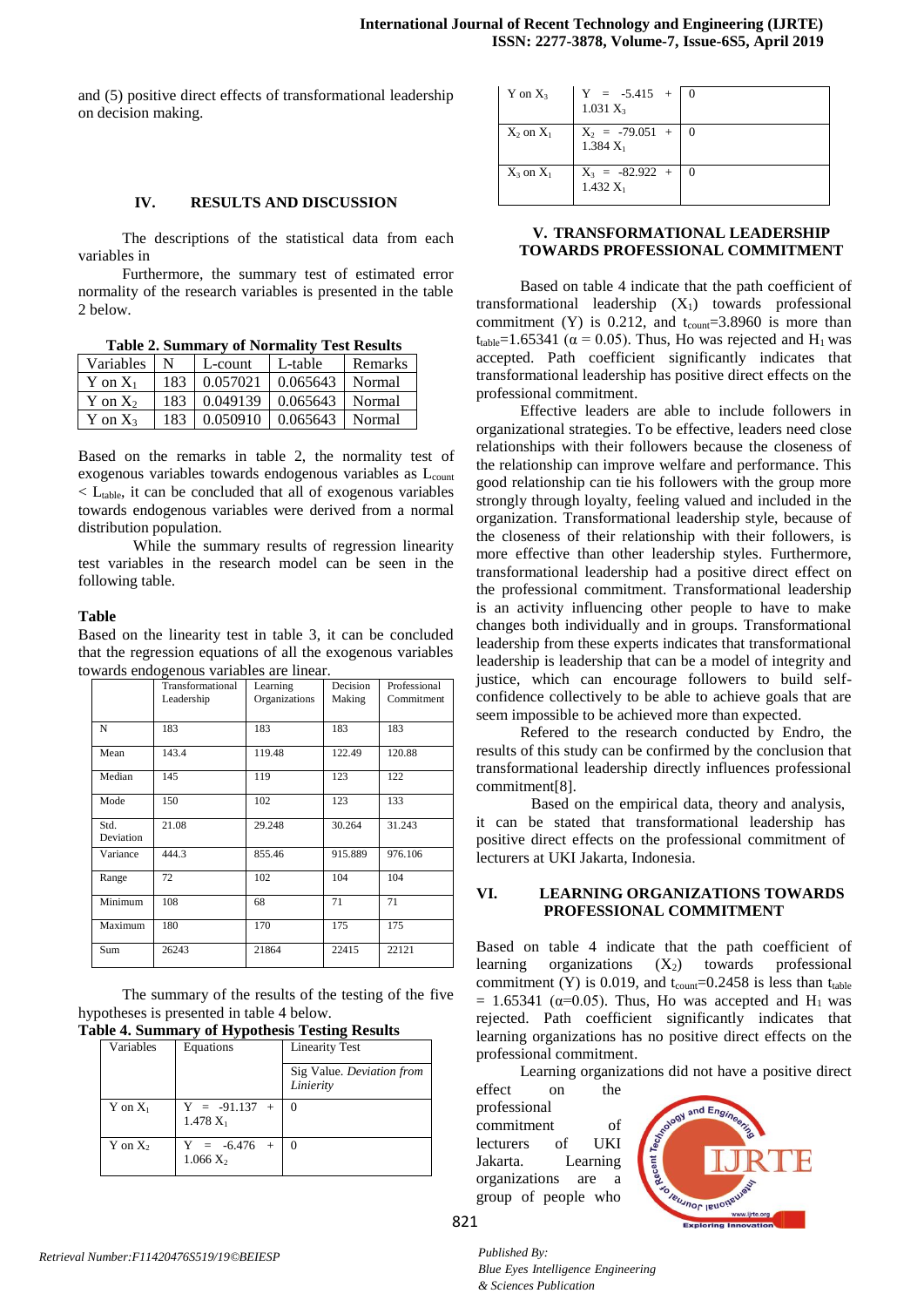and (5) positive direct effects of transformational leadership on decision making.

## **IV. RESULTS AND DISCUSSION**

The descriptions of the statistical data from each variables in

Furthermore, the summary test of estimated error normality of the research variables is presented in the table 2 below.

**Table 2. Summary of Normality Test Results**

| Variables N  |     | L-count   | L-table                            | Remarks |
|--------------|-----|-----------|------------------------------------|---------|
| Y on $X_1$   | 183 | 10.057021 | $0.065643$ Normal                  |         |
| Y on $X_2$   |     |           | 183 0.049139 0.065643 Normal       |         |
| $Y$ on $X_3$ |     |           | 183   0.050910   0.065643   Normal |         |

Based on the remarks in table 2, the normality test of exogenous variables towards endogenous variables as L<sub>count</sub>  $\langle L_{\text{table}} \rangle$ , it can be concluded that all of exogenous variables towards endogenous variables were derived from a normal distribution population.

While the summary results of regression linearity test variables in the research model can be seen in the following table.

#### **Table**

Based on the linearity test in table 3, it can be concluded that the regression equations of all the exogenous variables towards endogenous variables are linear.

|                   | Transformational<br>Leadership | Learning<br>Organizations | Decision<br>Making | Professional<br>Commitment |
|-------------------|--------------------------------|---------------------------|--------------------|----------------------------|
| N                 | 183                            | 183                       | 183                | 183                        |
| Mean              | 143.4                          | 119.48                    | 122.49             | 120.88                     |
| Median            | 145                            | 119                       | 123                | 122                        |
| Mode              | 150                            | 102                       | 123                | 133                        |
| Std.<br>Deviation | 21.08                          | 29.248                    | 30.264             | 31.243                     |
| Variance          | 444.3                          | 855.46                    | 915.889            | 976.106                    |
| Range             | 72                             | 102                       | 104                | 104                        |
| Minimum           | 108                            | 68                        | 71                 | 71                         |
| Maximum           | 180                            | 170                       | 175                | 175                        |
| Sum               | 26243                          | 21864                     | 22415              | 22121                      |

The summary of the results of the testing of the five hypotheses is presented in table 4 below.

| <b>Table 4. Summary of Hypothesis Testing Results</b> |
|-------------------------------------------------------|
|-------------------------------------------------------|

| Variables    | Equations                      | <b>Linearity Test</b>                  |
|--------------|--------------------------------|----------------------------------------|
|              |                                | Sig Value. Deviation from<br>Linierity |
| $Y$ on $X_1$ | $Y = -91.137 +$<br>$1.478 X_1$ |                                        |
| $Y$ on $X_2$ | $Y = -6.476 +$<br>$1.066 X_2$  |                                        |

| $Y$ on $X_3$   | $Y = -5.415 + 0$<br>$1.031 X_3$    |  |
|----------------|------------------------------------|--|
| $X_2$ on $X_1$ | $X_2 = -79.051 + 0$<br>$1.384 X_1$ |  |
| $X_3$ on $X_1$ | $X_3 = -82.922 + 0$<br>$1.432 X_1$ |  |

## **V. TRANSFORMATIONAL LEADERSHIP TOWARDS PROFESSIONAL COMMITMENT**

Based on table 4 indicate that the path coefficient of transformational leadership  $(X_1)$  towards professional commitment (Y) is 0.212, and  $t_{count} = 3.8960$  is more than t<sub>table</sub>=1.65341 ( $\alpha$  = 0.05). Thus, Ho was rejected and H<sub>1</sub> was accepted. Path coefficient significantly indicates that transformational leadership has positive direct effects on the professional commitment.

Effective leaders are able to include followers in organizational strategies. To be effective, leaders need close relationships with their followers because the closeness of the relationship can improve welfare and performance. This good relationship can tie his followers with the group more strongly through loyalty, feeling valued and included in the organization. Transformational leadership style, because of the closeness of their relationship with their followers, is more effective than other leadership styles. Furthermore, transformational leadership had a positive direct effect on the professional commitment. Transformational leadership is an activity influencing other people to have to make changes both individually and in groups. Transformational leadership from these experts indicates that transformational leadership is leadership that can be a model of integrity and justice, which can encourage followers to build selfconfidence collectively to be able to achieve goals that are seem impossible to be achieved more than expected.

Refered to the research conducted by Endro, the results of this study can be confirmed by the conclusion that transformational leadership directly influences professional commitment[8].

Based on the empirical data, theory and analysis, it can be stated that transformational leadership has positive direct effects on the professional commitment of lecturers at UKI Jakarta, Indonesia.

## **VI. LEARNING ORGANIZATIONS TOWARDS PROFESSIONAL COMMITMENT**

Based on table 4 indicate that the path coefficient of learning organizations  $(X_2)$  towards professional commitment (Y) is 0.019, and  $t_{\text{count}}$ =0.2458 is less than  $t_{\text{table}}$ = 1.65341 ( $\alpha$ =0.05). Thus, Ho was accepted and H<sub>1</sub> was rejected. Path coefficient significantly indicates that learning organizations has no positive direct effects on the professional commitment.

Learning organizations did not have a positive direct

effect on the professional commitment of lecturers of UKI Jakarta. Learning organizations are a group of people who

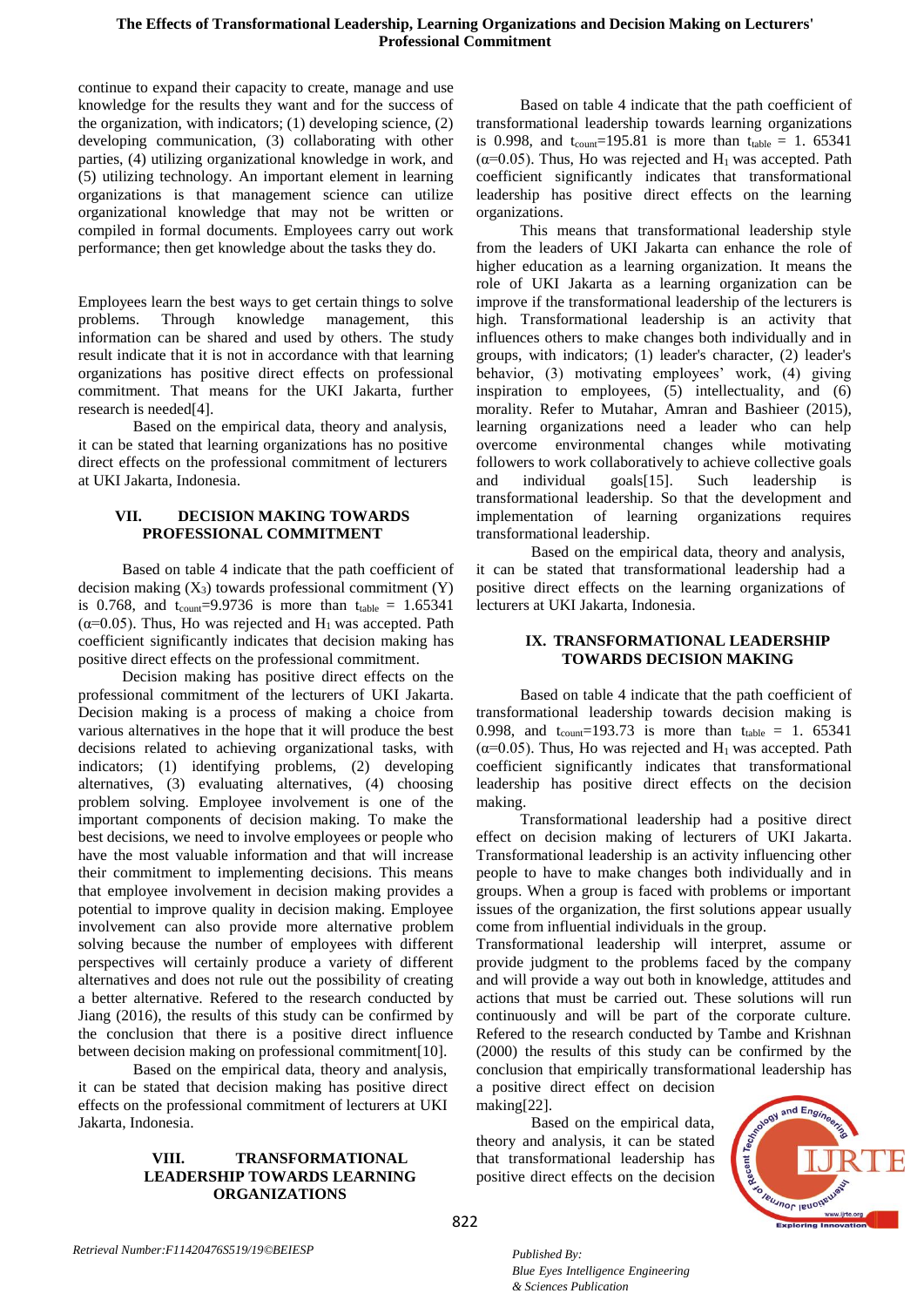continue to expand their capacity to create, manage and use knowledge for the results they want and for the success of the organization, with indicators; (1) developing science, (2) developing communication, (3) collaborating with other parties, (4) utilizing organizational knowledge in work, and (5) utilizing technology. An important element in learning organizations is that management science can utilize organizational knowledge that may not be written or compiled in formal documents. Employees carry out work performance; then get knowledge about the tasks they do.

Employees learn the best ways to get certain things to solve problems. Through knowledge management, this information can be shared and used by others. The study result indicate that it is not in accordance with that learning organizations has positive direct effects on professional commitment. That means for the UKI Jakarta, further research is needed[4].

Based on the empirical data, theory and analysis, it can be stated that learning organizations has no positive direct effects on the professional commitment of lecturers at UKI Jakarta, Indonesia.

# **VII. DECISION MAKING TOWARDS PROFESSIONAL COMMITMENT**

Based on table 4 indicate that the path coefficient of decision making  $(X_3)$  towards professional commitment  $(Y)$ is 0.768, and  $t_{\text{count}} = 9.9736$  is more than  $t_{\text{table}} = 1.65341$  $(\alpha=0.05)$ . Thus, Ho was rejected and H<sub>1</sub> was accepted. Path coefficient significantly indicates that decision making has positive direct effects on the professional commitment.

Decision making has positive direct effects on the professional commitment of the lecturers of UKI Jakarta. Decision making is a process of making a choice from various alternatives in the hope that it will produce the best decisions related to achieving organizational tasks, with indicators; (1) identifying problems, (2) developing alternatives, (3) evaluating alternatives, (4) choosing problem solving. Employee involvement is one of the important components of decision making. To make the best decisions, we need to involve employees or people who have the most valuable information and that will increase their commitment to implementing decisions. This means that employee involvement in decision making provides a potential to improve quality in decision making. Employee involvement can also provide more alternative problem solving because the number of employees with different perspectives will certainly produce a variety of different alternatives and does not rule out the possibility of creating a better alternative. Refered to the research conducted by Jiang (2016), the results of this study can be confirmed by the conclusion that there is a positive direct influence between decision making on professional commitment[10].

Based on the empirical data, theory and analysis, it can be stated that decision making has positive direct effects on the professional commitment of lecturers at UKI Jakarta, Indonesia.

#### **VIII. TRANSFORMATIONAL LEADERSHIP TOWARDS LEARNING ORGANIZATIONS**

Based on table 4 indicate that the path coefficient of transformational leadership towards learning organizations is 0.998, and  $t_{count}$ =195.81 is more than  $t_{table}$  = 1.65341 ( $\alpha$ =0.05). Thus, Ho was rejected and H<sub>1</sub> was accepted. Path coefficient significantly indicates that transformational leadership has positive direct effects on the learning organizations.

This means that transformational leadership style from the leaders of UKI Jakarta can enhance the role of higher education as a learning organization. It means the role of UKI Jakarta as a learning organization can be improve if the transformational leadership of the lecturers is high. Transformational leadership is an activity that influences others to make changes both individually and in groups, with indicators; (1) leader's character, (2) leader's behavior, (3) motivating employees' work, (4) giving inspiration to employees,  $(5)$  intellectuality, and  $(6)$ morality. Refer to Mutahar, Amran and Bashieer (2015), learning organizations need a leader who can help overcome environmental changes while motivating followers to work collaboratively to achieve collective goals and individual goals[15]. Such leadership is transformational leadership. So that the development and implementation of learning organizations requires transformational leadership.

Based on the empirical data, theory and analysis, it can be stated that transformational leadership had a positive direct effects on the learning organizations of lecturers at UKI Jakarta, Indonesia.

# **IX. TRANSFORMATIONAL LEADERSHIP TOWARDS DECISION MAKING**

Based on table 4 indicate that the path coefficient of transformational leadership towards decision making is 0.998, and  $t_{count} = 193.73$  is more than  $t_{table} = 1.65341$ ( $\alpha$ =0.05). Thus, Ho was rejected and H<sub>1</sub> was accepted. Path coefficient significantly indicates that transformational leadership has positive direct effects on the decision making.

Transformational leadership had a positive direct effect on decision making of lecturers of UKI Jakarta. Transformational leadership is an activity influencing other people to have to make changes both individually and in groups. When a group is faced with problems or important issues of the organization, the first solutions appear usually come from influential individuals in the group.

Transformational leadership will interpret, assume or provide judgment to the problems faced by the company and will provide a way out both in knowledge, attitudes and actions that must be carried out. These solutions will run continuously and will be part of the corporate culture. Refered to the research conducted by Tambe and Krishnan (2000) the results of this study can be confirmed by the conclusion that empirically transformational leadership has a positive direct effect on decision

making[22]. Based on the empirical data, theory and analysis, it can be stated that transformational leadership has positive direct effects on the decision

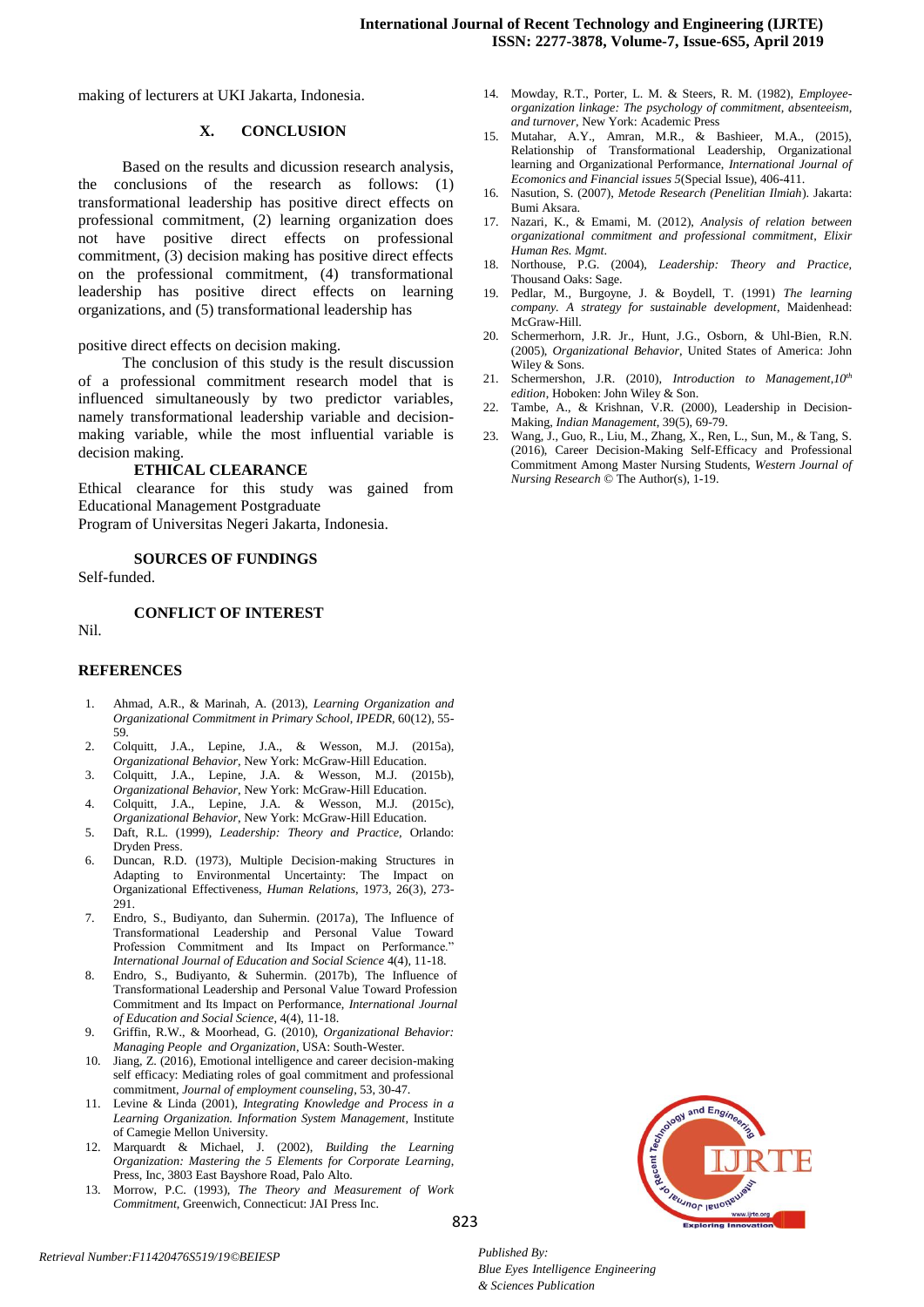making of lecturers at UKI Jakarta, Indonesia.

## **X. CONCLUSION**

Based on the results and dicussion research analysis, the conclusions of the research as follows: (1) transformational leadership has positive direct effects on professional commitment, (2) learning organization does not have positive direct effects on professional commitment, (3) decision making has positive direct effects on the professional commitment, (4) transformational leadership has positive direct effects on learning organizations, and (5) transformational leadership has

positive direct effects on decision making.

The conclusion of this study is the result discussion of a professional commitment research model that is influenced simultaneously by two predictor variables, namely transformational leadership variable and decisionmaking variable, while the most influential variable is decision making.

#### **ETHICAL CLEARANCE**

Ethical clearance for this study was gained from Educational Management Postgraduate Program of Universitas Negeri Jakarta, Indonesia.

**SOURCES OF FUNDINGS**

Self-funded.

**CONFLICT OF INTEREST**

Nil.

#### **REFERENCES**

- 1. Ahmad, A.R., & Marinah, A. (2013), *Learning Organization and Organizational Commitment in Primary School*, *IPEDR*, 60(12), 55- 59.
- 2. Colquitt, J.A., Lepine, J.A., & Wesson, M.J. (2015a), *Organizational Behavior*, New York: McGraw-Hill Education.
- 3. Colquitt, J.A., Lepine, J.A. & Wesson, M.J. (2015b), *Organizational Behavior*, New York: McGraw-Hill Education.
- 4. Colquitt, J.A., Lepine, J.A. & Wesson, M.J. (2015c), *Organizational Behavior*, New York: McGraw-Hill Education.
- 5. Daft, R.L. (1999), *Leadership: Theory and Practice,* Orlando: Dryden Press.
- 6. Duncan, R.D. (1973), Multiple Decision-making Structures in Adapting to Environmental Uncertainty: The Impact on Organizational Effectiveness, *Human Relations*, 1973, 26(3), 273- 291.
- 7. Endro, S., Budiyanto, dan Suhermin. (2017a), The Influence of Transformational Leadership and Personal Value Toward Profession Commitment and Its Impact on Performance." *International Journal of Education and Social Science* 4(4), 11-18.
- 8. Endro, S., Budiyanto, & Suhermin. (2017b), The Influence of Transformational Leadership and Personal Value Toward Profession Commitment and Its Impact on Performance, *International Journal of Education and Social Science*, 4(4), 11-18.
- 9. Griffin, R.W., & Moorhead, G. (2010), *Organizational Behavior: Managing People and Organization*, USA: South-Wester.
- 10. Jiang, Z. (2016), Emotional intelligence and career decision-making self efficacy: Mediating roles of goal commitment and professional commitment, *Journal of employment counseling*, 53, 30-47.
- 11. Levine & Linda (2001), *Integrating Knowledge and Process in a Learning Organization. Information System Management*, Institute of Camegie Mellon University.
- 12. Marquardt & Michael, J. (2002), *Building the Learning Organization: Mastering the 5 Elements for Corporate Learning*, Press, Inc, 3803 East Bayshore Road, Palo Alto.
- 13. Morrow, P.C. (1993), *The Theory and Measurement of Work Commitment*, Greenwich, Connecticut: JAI Press Inc.
- 14. Mowday, R.T., Porter, L. M. & Steers, R. M. (1982), *Employeeorganization linkage: The psychology of commitment, absenteeism, and turnover*, New York: Academic Press
- 15. Mutahar, A.Y., Amran, M.R., & Bashieer, M.A., (2015), Relationship of Transformational Leadership, Organizational learning and Organizational Performance, *International Journal of Ecomonics and Financial issues 5*(Special Issue), 406-411.
- 16. Nasution, S. (2007), *Metode Research (Penelitian Ilmiah*). Jakarta: Bumi Aksara.
- 17. Nazari, K., & Emami, M. (2012), *Analysis of relation between organizational commitment and professional commitment*, *Elixir Human Res. Mgmt*.
- 18. Northouse, P.G. (2004), *Leadership: Theory and Practice,*  Thousand Oaks: Sage.
- 19. Pedlar, M., Burgoyne, J. & Boydell, T. (1991) *The learning company. A strategy for sustainable development*, Maidenhead: McGraw-Hill.
- 20. Schermerhorn, J.R. Jr., Hunt, J.G., Osborn, & Uhl-Bien, R.N. (2005), *Organizational Behavior*, United States of America: John Wiley & Sons.
- 21. Schermershon, J.R. (2010), *Introduction to Management*,*10th edition*, Hoboken: John Wiley & Son.
- 22. Tambe, A., & Krishnan, V.R. (2000), Leadership in Decision-Making, *Indian Management*, 39(5), 69-79.
- 23. Wang, J., Guo, R., Liu, M., Zhang, X., Ren, L., Sun, M., & Tang, S. (2016), Career Decision-Making Self-Efficacy and Professional Commitment Among Master Nursing Students, *Western Journal of Nursing Research* © The Author(s), 1-19.



*Retrieval Number:F11420476S519/19©BEIESP*